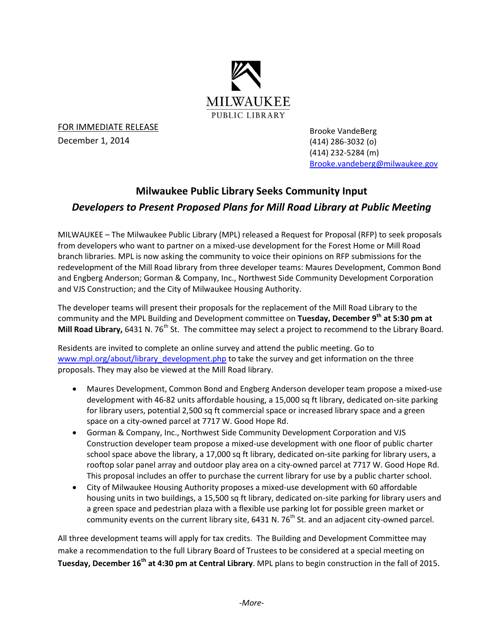

FOR IMMEDIATE RELEASE December 1, 2014

 [Brooke.vandeberg@milwaukee.gov](mailto:Brooke.vandeberg@milwaukee.gov)Brooke VandeBerg (414) 286-3032 (o) (414) 232-5284 (m)

## **Milwaukee Public Library Seeks Community Input** *Developers to Present Proposed Plans for Mill Road Library at Public Meeting*

MILWAUKEE – The Milwaukee Public Library (MPL) released a Request for Proposal (RFP) to seek proposals from developers who want to partner on a mixed-use development for the Forest Home or Mill Road branch libraries. MPL is now asking the community to voice their opinions on RFP submissions for the redevelopment of the Mill Road library from three developer teams: Maures Development, Common Bond and Engberg Anderson; Gorman & Company, Inc., Northwest Side Community Development Corporation and VJS Construction; and the City of Milwaukee Housing Authority.

The developer teams will present their proposals for the replacement of the Mill Road Library to the community and the MPL Building and Development committee on **Tuesday, December 9 th at 5:30 pm at Mill Road Library,** 6431 N. 76<sup>th</sup> St. The committee may select a project to recommend to the Library Board.

Residents are invited to complete an online survey and attend the public meeting. Go to [www.mpl.org/about/library\\_development.php](http://www.mpl.org/about/library_development.php) to take the survey and get information on the three proposals. They may also be viewed at the Mill Road library.

- Maures Development, Common Bond and Engberg Anderson developer team propose a mixed-use development with 46-82 units affordable housing, a 15,000 sq ft library, dedicated on-site parking for library users, potential 2,500 sq ft commercial space or increased library space and a green space on a city-owned parcel at 7717 W. Good Hope Rd.
- Gorman & Company, Inc., Northwest Side Community Development Corporation and VJS Construction developer team propose a mixed-use development with one floor of public charter school space above the library, a 17,000 sq ft library, dedicated on-site parking for library users, a rooftop solar panel array and outdoor play area on a city-owned parcel at 7717 W. Good Hope Rd. This proposal includes an offer to purchase the current library for use by a public charter school.
- City of Milwaukee Housing Authority proposes a mixed-use development with 60 affordable housing units in two buildings, a 15,500 sq ft library, dedicated on-site parking for library users and a green space and pedestrian plaza with a flexible use parking lot for possible green market or community events on the current library site, 6431 N.  $76<sup>th</sup>$  St. and an adjacent city-owned parcel.

All three development teams will apply for tax credits. The Building and Development Committee may make a recommendation to the full Library Board of Trustees to be considered at a special meeting on **Tuesday, December 16th at 4:30 pm at Central Library**. MPL plans to begin construction in the fall of 2015.